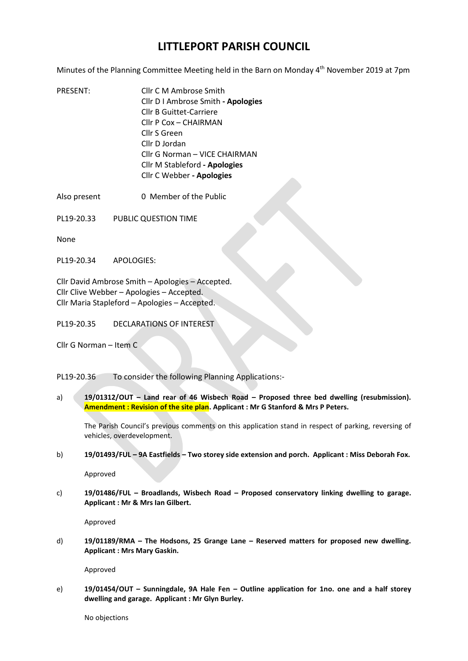## **LITTLEPORT PARISH COUNCIL**

Minutes of the Planning Committee Meeting held in the Barn on Monday 4<sup>th</sup> November 2019 at 7pm

- PRESENT: Cllr C M Ambrose Smith Cllr D I Ambrose Smith **- Apologies** Cllr B Guittet-Carriere Cllr P Cox – CHAIRMAN Cllr S Green Cllr D Jordan Cllr G Norman – VICE CHAIRMAN Cllr M Stableford **- Apologies** Cllr C Webber **- Apologies**
- Also present 0 Member of the Public
- PL19-20.33 PUBLIC QUESTION TIME

None

PL19-20.34 APOLOGIES:

Cllr David Ambrose Smith – Apologies – Accepted. Cllr Clive Webber – Apologies – Accepted. Cllr Maria Stapleford – Apologies – Accepted.

PL19-20.35 DECLARATIONS OF INTEREST

Cllr G Norman – Item C

PL19-20.36 To consider the following Planning Applications:-

a) **19/01312/OUT – Land rear of 46 Wisbech Road – Proposed three bed dwelling (resubmission). Amendment : Revision of the site plan. Applicant : Mr G Stanford & Mrs P Peters.**

The Parish Council's previous comments on this application stand in respect of parking, reversing of vehicles, overdevelopment.

b) **19/01493/FUL – 9A Eastfields – Two storey side extension and porch. Applicant : Miss Deborah Fox.**

Approved

c) **19/01486/FUL – Broadlands, Wisbech Road – Proposed conservatory linking dwelling to garage. Applicant : Mr & Mrs Ian Gilbert.**

Approved

d) **19/01189/RMA – The Hodsons, 25 Grange Lane – Reserved matters for proposed new dwelling. Applicant : Mrs Mary Gaskin.**

Approved

e) **19/01454/OUT – Sunningdale, 9A Hale Fen – Outline application for 1no. one and a half storey dwelling and garage. Applicant : Mr Glyn Burley.**

No objections